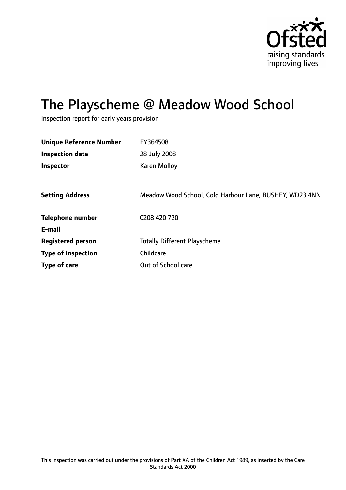

# The Playscheme @ Meadow Wood School

Inspection report for early years provision

| <b>Unique Reference Number</b> | EY364508                                                |
|--------------------------------|---------------------------------------------------------|
| <b>Inspection date</b>         | 28 July 2008                                            |
| Inspector                      | <b>Karen Molloy</b>                                     |
|                                |                                                         |
| <b>Setting Address</b>         | Meadow Wood School, Cold Harbour Lane, BUSHEY, WD23 4NN |
| <b>Telephone number</b>        | 0208 420 720                                            |
| E-mail                         |                                                         |
| <b>Registered person</b>       | <b>Totally Different Playscheme</b>                     |
| <b>Type of inspection</b>      | Childcare                                               |
| Type of care                   | Out of School care                                      |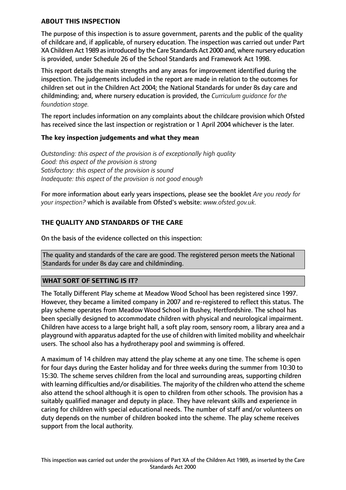# **ABOUT THIS INSPECTION**

The purpose of this inspection is to assure government, parents and the public of the quality of childcare and, if applicable, of nursery education. The inspection was carried out under Part XA Children Act 1989 as introduced by the Care Standards Act 2000 and, where nursery education is provided, under Schedule 26 of the School Standards and Framework Act 1998.

This report details the main strengths and any areas for improvement identified during the inspection. The judgements included in the report are made in relation to the outcomes for children set out in the Children Act 2004; the National Standards for under 8s day care and childminding; and, where nursery education is provided, the *Curriculum guidance for the foundation stage.*

The report includes information on any complaints about the childcare provision which Ofsted has received since the last inspection or registration or 1 April 2004 whichever is the later.

# **The key inspection judgements and what they mean**

*Outstanding: this aspect of the provision is of exceptionally high quality Good: this aspect of the provision is strong Satisfactory: this aspect of the provision is sound Inadequate: this aspect of the provision is not good enough*

For more information about early years inspections, please see the booklet *Are you ready for your inspection?* which is available from Ofsted's website: *www.ofsted.gov.uk.*

# **THE QUALITY AND STANDARDS OF THE CARE**

On the basis of the evidence collected on this inspection:

The quality and standards of the care are good. The registered person meets the National Standards for under 8s day care and childminding.

#### **WHAT SORT OF SETTING IS IT?**

The Totally Different Play scheme at Meadow Wood School has been registered since 1997. However, they became a limited company in 2007 and re-registered to reflect this status. The play scheme operates from Meadow Wood School in Bushey, Hertfordshire. The school has been specially designed to accommodate children with physical and neurological impairment. Children have access to a large bright hall, a soft play room, sensory room, a library area and a playground with apparatus adapted for the use of children with limited mobility and wheelchair users. The school also has a hydrotherapy pool and swimming is offered.

A maximum of 14 children may attend the play scheme at any one time. The scheme is open for four days during the Easter holiday and for three weeks during the summer from 10:30 to 15:30. The scheme serves children from the local and surrounding areas, supporting children with learning difficulties and/or disabilities. The majority of the children who attend the scheme also attend the school although it is open to children from other schools. The provision has a suitably qualified manager and deputy in place. They have relevant skills and experience in caring for children with special educational needs. The number of staff and/or volunteers on duty depends on the number of children booked into the scheme. The play scheme receives support from the local authority.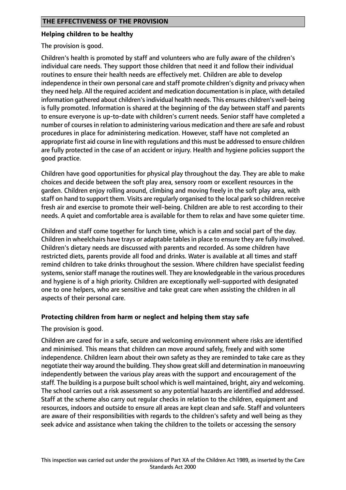#### **Helping children to be healthy**

The provision is good.

Children's health is promoted by staff and volunteers who are fully aware of the children's individual care needs. They support those children that need it and follow their individual routines to ensure their health needs are effectively met. Children are able to develop independence in their own personal care and staff promote children's dignity and privacy when they need help. All the required accident and medication documentation isin place, with detailed information gathered about children's individual health needs. This ensures children's well-being is fully promoted. Information is shared at the beginning of the day between staff and parents to ensure everyone is up-to-date with children's current needs. Senior staff have completed a number of coursesin relation to administering various medication and there are safe and robust procedures in place for administering medication. However, staff have not completed an appropriate first aid course in line with regulations and this must be addressed to ensure children are fully protected in the case of an accident or injury. Health and hygiene policies support the good practice.

Children have good opportunities for physical play throughout the day. They are able to make choices and decide between the soft play area, sensory room or excellent resources in the garden. Children enjoy rolling around, climbing and moving freely in the soft play area, with staff on hand to support them. Visits are regularly organised to the local park so children receive fresh air and exercise to promote their well-being. Children are able to rest according to their needs. A quiet and comfortable area is available for them to relax and have some quieter time.

Children and staff come together for lunch time, which is a calm and social part of the day. Children in wheelchairs have trays or adaptable tables in place to ensure they are fully involved. Children's dietary needs are discussed with parents and recorded. As some children have restricted diets, parents provide all food and drinks. Water is available at all times and staff remind children to take drinks throughout the session. Where children have specialist feeding systems, senior staff manage the routines well. They are knowledgeable in the various procedures and hygiene is of a high priority. Children are exceptionally well-supported with designated one to one helpers, who are sensitive and take great care when assisting the children in all aspects of their personal care.

# **Protecting children from harm or neglect and helping them stay safe**

The provision is good.

Children are cared for in a safe, secure and welcoming environment where risks are identified and minimised. This means that children can move around safely, freely and with some independence. Children learn about their own safety as they are reminded to take care as they negotiate their way around the building. They show great skill and determination in manoeuvring independently between the various play areas with the support and encouragement of the staff. The building is a purpose built school which is well maintained, bright, airy and welcoming. The school carries out a risk assessment so any potential hazards are identified and addressed. Staff at the scheme also carry out regular checks in relation to the children, equipment and resources, indoors and outside to ensure all areas are kept clean and safe. Staff and volunteers are aware of their responsibilities with regards to the children's safety and well being as they seek advice and assistance when taking the children to the toilets or accessing the sensory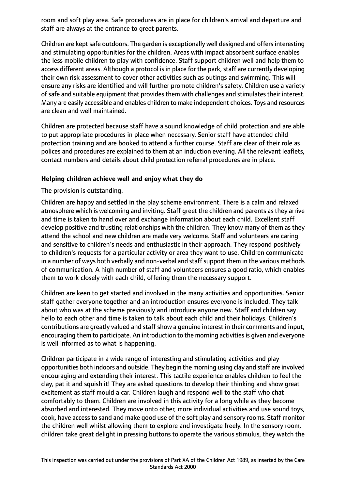room and soft play area. Safe procedures are in place for children's arrival and departure and staff are always at the entrance to greet parents.

Children are kept safe outdoors. The garden is exceptionally well designed and offers interesting and stimulating opportunities for the children. Areas with impact absorbent surface enables the less mobile children to play with confidence. Staff support children well and help them to access different areas. Although a protocol is in place for the park, staff are currently developing their own risk assessment to cover other activities such as outings and swimming. This will ensure any risks are identified and will further promote children's safety. Children use a variety of safe and suitable equipment that provides them with challenges and stimulates their interest. Many are easily accessible and enables children to make independent choices. Toys and resources are clean and well maintained.

Children are protected because staff have a sound knowledge of child protection and are able to put appropriate procedures in place when necessary. Senior staff have attended child protection training and are booked to attend a further course. Staff are clear of their role as polices and procedures are explained to them at an induction evening. All the relevant leaflets, contact numbers and details about child protection referral procedures are in place.

# **Helping children achieve well and enjoy what they do**

The provision is outstanding.

Children are happy and settled in the play scheme environment. There is a calm and relaxed atmosphere which is welcoming and inviting. Staff greet the children and parents as they arrive and time is taken to hand over and exchange information about each child. Excellent staff develop positive and trusting relationships with the children. They know many of them as they attend the school and new children are made very welcome. Staff and volunteers are caring and sensitive to children's needs and enthusiastic in their approach. They respond positively to children's requests for a particular activity or area they want to use. Children communicate in a number of ways both verbally and non-verbal and staff support them in the various methods of communication. A high number of staff and volunteers ensures a good ratio, which enables them to work closely with each child, offering them the necessary support.

Children are keen to get started and involved in the many activities and opportunities. Senior staff gather everyone together and an introduction ensures everyone is included. They talk about who was at the scheme previously and introduce anyone new. Staff and children say hello to each other and time is taken to talk about each child and their holidays. Children's contributions are greatly valued and staff show a genuine interest in their comments and input, encouraging them to participate. An introduction to the morning activities is given and everyone is well informed as to what is happening.

Children participate in a wide range of interesting and stimulating activities and play opportunities both indoors and outside. They begin the morning using clay and staff are involved encouraging and extending their interest. This tactile experience enables children to feel the clay, pat it and squish it! They are asked questions to develop their thinking and show great excitement as staff mould a car. Children laugh and respond well to the staff who chat comfortably to them. Children are involved in this activity for a long while as they become absorbed and interested. They move onto other, more individual activities and use sound toys, cook, have access to sand and make good use of the soft play and sensory rooms. Staff monitor the children well whilst allowing them to explore and investigate freely. In the sensory room, children take great delight in pressing buttons to operate the various stimulus, they watch the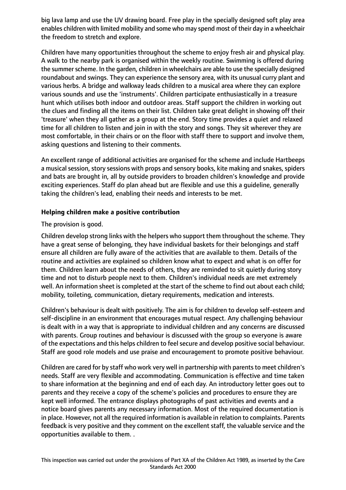big lava lamp and use the UV drawing board. Free play in the specially designed soft play area enables children with limited mobility and some who may spend most of their day in a wheelchair the freedom to stretch and explore.

Children have many opportunities throughout the scheme to enjoy fresh air and physical play. A walk to the nearby park is organised within the weekly routine. Swimming is offered during the summer scheme. In the garden, children in wheelchairs are able to use the specially designed roundabout and swings. They can experience the sensory area, with its unusual curry plant and various herbs. A bridge and walkway leads children to a musical area where they can explore various sounds and use the 'instruments'. Children participate enthusiastically in a treasure hunt which utilises both indoor and outdoor areas. Staff support the children in working out the clues and finding all the items on their list. Children take great delight in showing off their 'treasure' when they all gather as a group at the end. Story time provides a quiet and relaxed time for all children to listen and join in with the story and songs. They sit wherever they are most comfortable, in their chairs or on the floor with staff there to support and involve them, asking questions and listening to their comments.

An excellent range of additional activities are organised for the scheme and include Hartbeeps a musical session, story sessions with props and sensory books, kite making and snakes, spiders and bats are brought in, all by outside providers to broaden children's knowledge and provide exciting experiences. Staff do plan ahead but are flexible and use this a guideline, generally taking the children's lead, enabling their needs and interests to be met.

# **Helping children make a positive contribution**

# The provision is good.

Children develop strong links with the helpers who support them throughout the scheme. They have a great sense of belonging, they have individual baskets for their belongings and staff ensure all children are fully aware of the activities that are available to them. Details of the routine and activities are explained so children know what to expect and what is on offer for them. Children learn about the needs of others, they are reminded to sit quietly during story time and not to disturb people next to them. Children's individual needs are met extremely well. An information sheet is completed at the start of the scheme to find out about each child; mobility, toileting, communication, dietary requirements, medication and interests.

Children's behaviour is dealt with positively. The aim is for children to develop self-esteem and self-discipline in an environment that encourages mutual respect. Any challenging behaviour is dealt with in a way that is appropriate to individual children and any concerns are discussed with parents. Group routines and behaviour is discussed with the group so everyone is aware of the expectations and this helps children to feel secure and develop positive social behaviour. Staff are good role models and use praise and encouragement to promote positive behaviour.

Children are cared for by staff who work very well in partnership with parents to meet children's needs. Staff are very flexible and accommodating. Communication is effective and time taken to share information at the beginning and end of each day. An introductory letter goes out to parents and they receive a copy of the scheme's policies and procedures to ensure they are kept well informed. The entrance displays photographs of past activities and events and a notice board gives parents any necessary information. Most of the required documentation is in place. However, not all the required information is available in relation to complaints. Parents feedback is very positive and they comment on the excellent staff, the valuable service and the opportunities available to them. .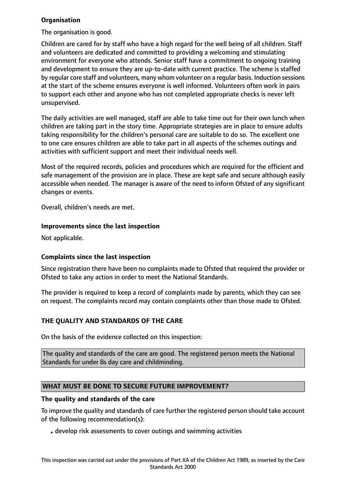# **Organisation**

The organisation is good.

Children are cared for by staff who have a high regard for the well being of all children. Staff and volunteers are dedicated and committed to providing a welcoming and stimulating environment for everyone who attends. Senior staff have a commitment to ongoing training and development to ensure they are up-to-date with current practice. The scheme is staffed by regular core staff and volunteers, many whom volunteer on a regular basis. Induction sessions at the start of the scheme ensures everyone is well informed. Volunteers often work in pairs to support each other and anyone who has not completed appropriate checks is never left unsupervised.

The daily activities are well managed, staff are able to take time out for their own lunch when children are taking part in the story time. Appropriate strategies are in place to ensure adults taking responsibility for the children's personal care are suitable to do so. The excellent one to one care ensures children are able to take part in all aspects of the schemes outings and activities with sufficient support and meet their individual needs well.

Most of the required records, policies and procedures which are required for the efficient and safe management of the provision are in place. These are kept safe and secure although easily accessible when needed. The manager is aware of the need to inform Ofsted of any significant changes or events.

Overall, children's needs are met.

# **Improvements since the last inspection**

Not applicable.

# **Complaints since the last inspection**

Since registration there have been no complaints made to Ofsted that required the provider or Ofsted to take any action in order to meet the National Standards.

The provider is required to keep a record of complaints made by parents, which they can see on request. The complaints record may contain complaints other than those made to Ofsted.

# **THE QUALITY AND STANDARDS OF THE CARE**

On the basis of the evidence collected on this inspection:

The quality and standards of the care are good. The registered person meets the National Standards for under 8s day care and childminding.

# **WHAT MUST BE DONE TO SECURE FUTURE IMPROVEMENT?**

#### **The quality and standards of the care**

To improve the quality and standards of care further the registered person should take account of the following recommendation(s):

• develop risk assessments to cover outings and swimming activities